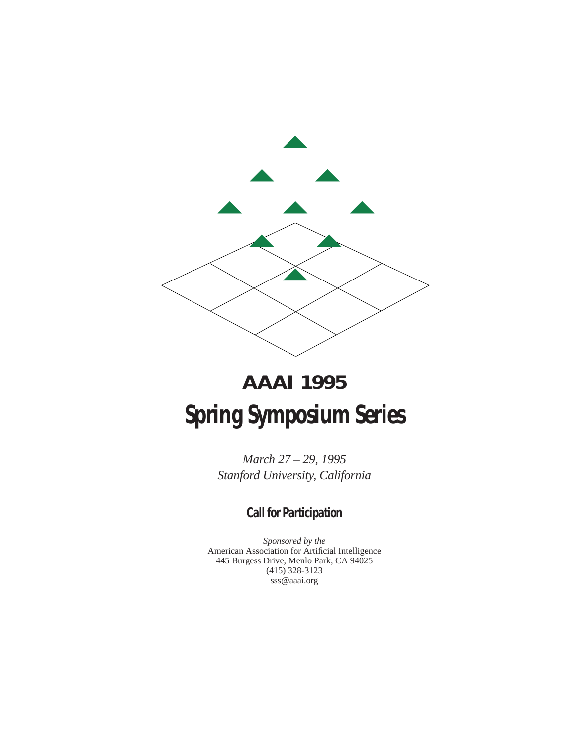

# **AAAI 1995 Spring Symposium Series**

*March 27 – 29, 1995 Stanford University, California*

# **Call for Participation**

*Sponsored by the* American Association for Artificial Intelligence 445 Burgess Drive, Menlo Park, CA 94025 (415) 328-3123 sss@aaai.org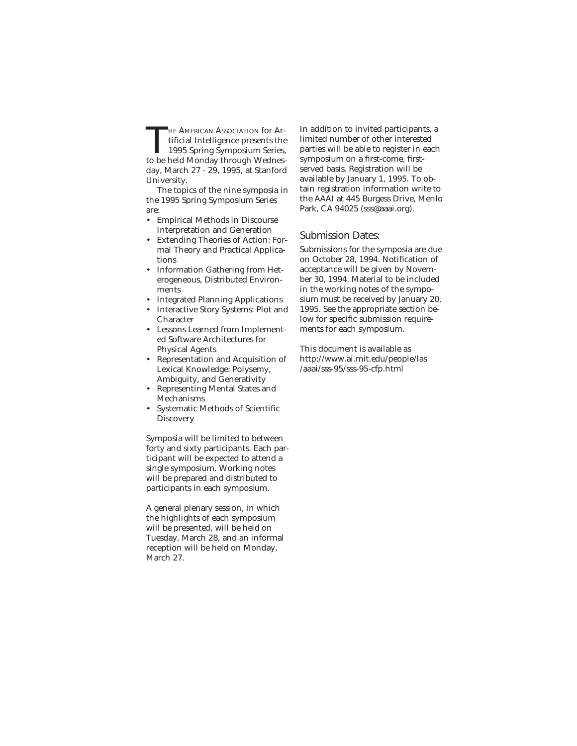THE AMERICAN ASSOCIATION for Artificial Intelligence presents the<br>1995 Spring Symposium Series,<br>to be held Monday through Wednes tificial Intelligence presents the to be held Monday through Wednesday, March 27 - 29, 1995, at Stanford University.

The topics of the nine symposia in the 1995 Spring Symposium Series are:

- Empirical Methods in Discourse Interpretation and Generation
- Extending Theories of Action: Formal Theory and Practical Applications
- Information Gathering from Heterogeneous, Distributed Environments
- Integrated Planning Applications
- Interactive Story Systems: Plot and Character
- Lessons Learned from Implemented Software Architectures for Physical Agents
- Representation and Acquisition of Lexical Knowledge: Polysemy, Ambiguity, and Generativity
- Representing Mental States and Mechanisms
- Systematic Methods of Scientific **Discovery**

Symposia will be limited to between forty and sixty participants. Each participant will be expected to attend a single symposium. Working notes will be prepared and distributed to participants in each symposium.

A general plenary session, in which the highlights of each symposium will be presented, will be held on Tuesday, March 28, and an informal reception will be held on Monday, March 27.

In addition to invited participants, a limited number of other interested parties will be able to register in each symposium on a first-come, firstserved basis. Registration will be available by January 1, 1995. To obtain registration information write to the AAAI at 445 Burgess Drive, Menlo Park, CA 94025 (sss@aaai.org).

#### Submission Dates:

Submissions for the symposia are due on October 28, 1994. Notification of acceptance will be given by November 30, 1994. Material to be included in the working notes of the symposium must be received by January 20, 1995. See the appropriate section below for specific submission requirements for each symposium.

This document is available as http://www.ai.mit.edu/people/las /aaai/sss-95/sss-95-cfp.html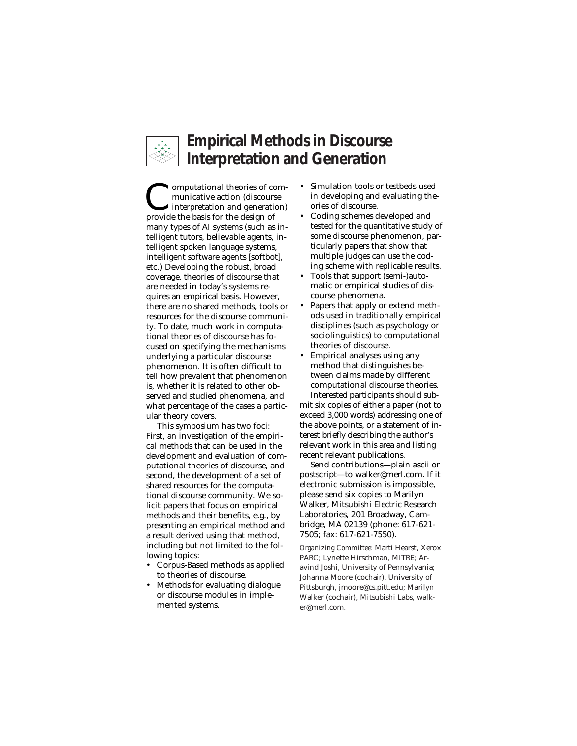

# **Empirical Methods in Discourse Interpretation and Generation**

**Computational theories of com-**<br>municative action (discourse<br>provide the basis for the design of municative action (discourse provide the basis for the design of many types of AI systems (such as intelligent tutors, believable agents, intelligent spoken language systems, intelligent software agents [softbot], etc.) Developing the robust, broad coverage, theories of discourse that are needed in today's systems requires an empirical basis. However, there are no shared methods, tools or resources for the discourse community. To date, much work in computational theories of discourse has focused on specifying the mechanisms underlying a particular discourse phenomenon. It is often difficult to tell how prevalent that phenomenon is, whether it is related to other observed and studied phenomena, and what percentage of the cases a particular theory covers.

This symposium has two foci: First, an investigation of the empirical methods that can be used in the development and evaluation of computational theories of discourse, and second, the development of a set of shared resources for the computational discourse community. We solicit papers that focus on empirical methods and their benefits, e.g., by presenting an empirical method and a result derived using that method, including but not limited to the following topics:

- Corpus-Based methods as applied to theories of discourse.
- Methods for evaluating dialogue or discourse modules in implemented systems.
- Simulation tools or testbeds used in developing and evaluating theories of discourse.
- Coding schemes developed and tested for the quantitative study of some discourse phenomenon, particularly papers that show that multiple judges can use the coding scheme with replicable results.
- Tools that support (semi-)automatic or empirical studies of discourse phenomena.
- Papers that apply or extend methods used in traditionally empirical disciplines (such as psychology or sociolinguistics) to computational theories of discourse.
- Empirical analyses using any method that distinguishes between claims made by different computational discourse theories. Interested participants should sub-

mit six copies of either a paper (not to exceed 3,000 words) addressing one of the above points, or a statement of interest briefly describing the author's relevant work in this area and listing recent relevant publications.

Send contributions—plain ascii or postscript—to walker@merl.com. If it electronic submission is impossible, please send six copies to Marilyn Walker, Mitsubishi Electric Research Laboratories, 201 Broadway, Cambridge, MA 02139 (phone: 617-621- 7505; fax: 617-621-7550).

*Organizing Committee:* Marti Hearst, Xerox PARC; Lynette Hirschman, MITRE; Aravind Joshi, University of Pennsylvania; Johanna Moore (cochair), University of Pittsburgh, jmoore@cs.pitt.edu; Marilyn Walker (cochair), Mitsubishi Labs, walker@merl.com.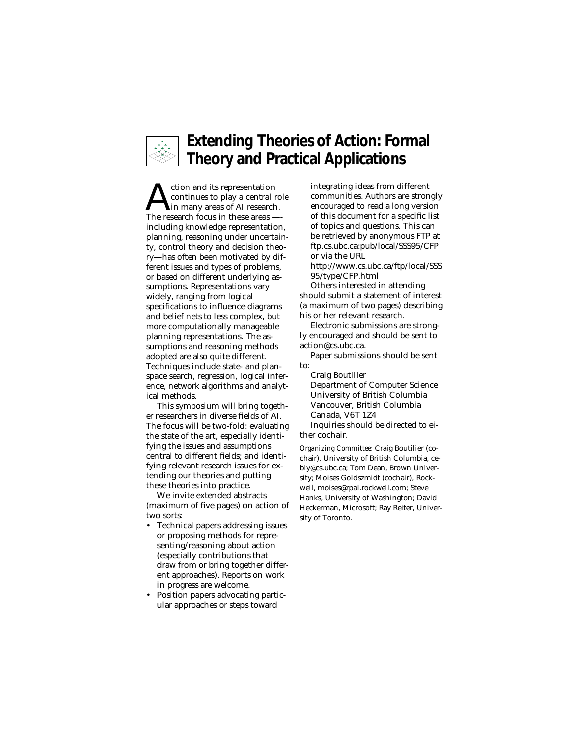

# **Extending Theories of Action: Formal Theory and Practical Applications**

tion and its representation<br>continues to play a central ro<br>The research focus in these areas continues to play a central role The research focus in these areas — including knowledge representation, planning, reasoning under uncertainty, control theory and decision theory—has often been motivated by different issues and types of problems, or based on different underlying assumptions. Representations vary widely, ranging from logical specifications to influence diagrams and belief nets to less complex, but more computationally manageable planning representations. The assumptions and reasoning methods adopted are also quite different. Techniques include state- and planspace search, regression, logical inference, network algorithms and analytical methods.

This symposium will bring together researchers in diverse fields of AI. The focus will be two-fold: evaluating the state of the art, especially identifying the issues and assumptions central to different fields; and identifying relevant research issues for extending our theories and putting these theories into practice.

We invite extended abstracts (maximum of five pages) on action of two sorts:

- Technical papers addressing issues or proposing methods for representing/reasoning about action (especially contributions that draw from or bring together different approaches). Reports on work in progress are welcome.
- Position papers advocating particular approaches or steps toward

integrating ideas from different communities. Authors are strongly encouraged to read a long version of this document for a specific list of topics and questions. This can be retrieved by anonymous FTP at ftp.cs.ubc.ca:pub/local/SSS95/CFP or via the URL

http://www.cs.ubc.ca/ftp/local/SSS 95/type/CFP.html

Others interested in attending should submit a statement of interest (a maximum of two pages) describing his or her relevant research.

Electronic submissions are strongly encouraged and should be sent to action@cs.ubc.ca.

Paper submissions should be sent to:

Craig Boutilier Department of Computer Science University of British Columbia Vancouver, British Columbia Canada, V6T 1Z4 Inquiries should be directed to ei-

ther cochair.

*Organizing Committee:* Craig Boutilier (cochair), University of British Columbia, cebly@cs.ubc.ca; Tom Dean, Brown University; Moises Goldszmidt (cochair), Rockwell, moises@rpal.rockwell.com; Steve Hanks, University of Washington; David Heckerman, Microsoft; Ray Reiter, University of Toronto.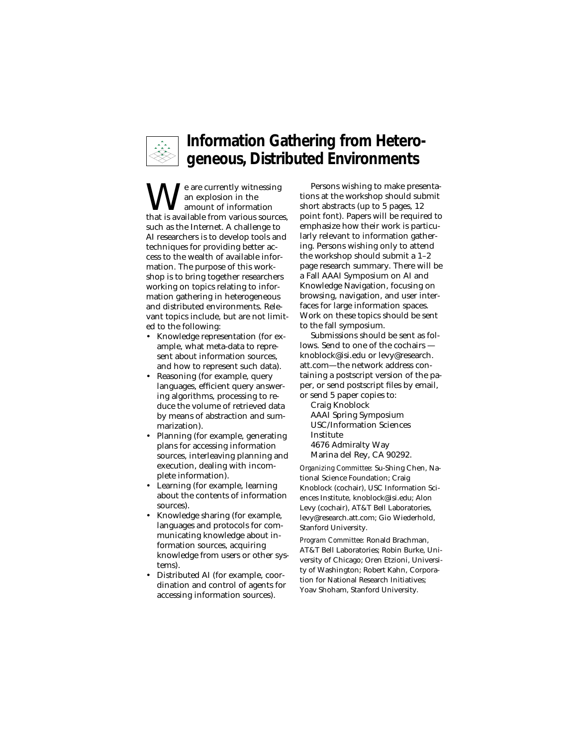

#### **Information Gathering from Heterogeneous, Distributed Environments**

 $\sum_{\rm am~en~en~t}$  and  $\sum_{\rm am~en~en~en~en~t}$ <br>that is available from various sources, an explosion in the amount of information such as the Internet. A challenge to AI researchers is to develop tools and techniques for providing better access to the wealth of available information. The purpose of this workshop is to bring together researchers working on topics relating to information gathering in heterogeneous and distributed environments. Relevant topics include, but are not limited to the following:

- Knowledge representation (for example, what meta-data to represent about information sources, and how to represent such data).
- Reasoning (for example, query languages, efficient query answering algorithms, processing to reduce the volume of retrieved data by means of abstraction and summarization).
- Planning (for example, generating plans for accessing information sources, interleaving planning and execution, dealing with incomplete information).
- Learning (for example, learning about the contents of information sources).
- Knowledge sharing (for example, languages and protocols for communicating knowledge about information sources, acquiring knowledge from users or other systems).
- Distributed AI (for example, coordination and control of agents for accessing information sources).

Persons wishing to make presentations at the workshop should submit short abstracts (up to 5 pages, 12 point font). Papers will be required to emphasize how their work is particularly relevant to information gathering. Persons wishing only to attend the workshop should submit a 1–2 page research summary. There will be a Fall AAAI Symposium on AI and Knowledge Navigation, focusing on browsing, navigation, and user interfaces for large information spaces. Work on these topics should be sent to the fall symposium.

Submissions should be sent as follows. Send to one of the cochairs knoblock@isi.edu or levy@research. att.com—the network address containing a postscript version of the paper, or send postscript files by email, or send 5 paper copies to:

Craig Knoblock AAAI Spring Symposium USC/Information Sciences Institute 4676 Admiralty Way Marina del Rey, CA 90292.

*Organizing Committee:* Su-Shing Chen, National Science Foundation; Craig Knoblock (cochair), USC Information Sciences Institute, knoblock@isi.edu; Alon Levy (cochair), AT&T Bell Laboratories, levy@research.att.com; Gio Wiederhold, Stanford University.

*Program Committee:* Ronald Brachman, AT&T Bell Laboratories; Robin Burke, University of Chicago; Oren Etzioni, University of Washington; Robert Kahn, Corporation for National Research Initiatives; Yoav Shoham, Stanford University.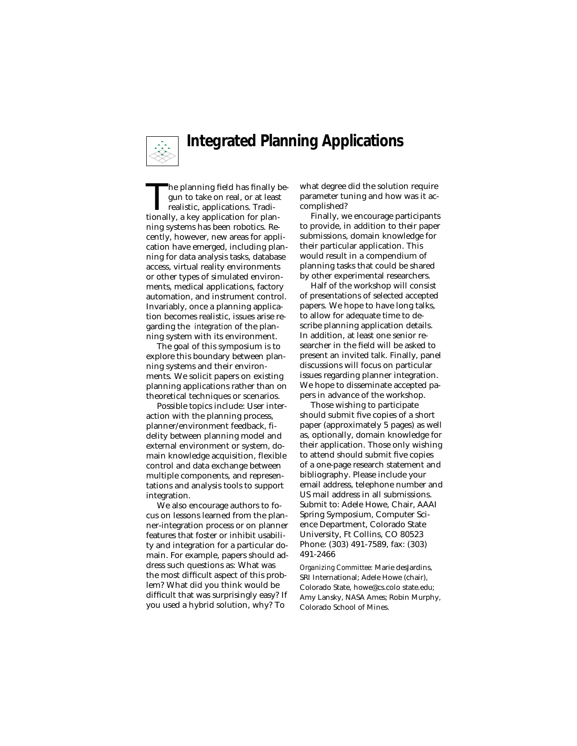

# **Integrated Planning Applications**

The planning field has finally begun to take on real, or at least<br>realistic, applications. Tradi-<br>tionally, a key application for plangun to take on real, or at least realistic, applications. Traditionally, a key application for planning systems has been robotics. Recently, however, new areas for application have emerged, including planning for data analysis tasks, database access, virtual reality environments or other types of simulated environments, medical applications, factory automation, and instrument control. Invariably, once a planning application becomes realistic, issues arise regarding the *integration* of the planning system with its environment.

The goal of this symposium is to explore this boundary between planning systems and their environments. We solicit papers on existing planning applications rather than on theoretical techniques or scenarios.

Possible topics include: User interaction with the planning process, planner/environment feedback, fidelity between planning model and external environment or system, domain knowledge acquisition, flexible control and data exchange between multiple components, and representations and analysis tools to support integration.

We also encourage authors to focus on lessons learned from the planner-integration process or on planner features that foster or inhibit usability and integration for a particular domain. For example, papers should address such questions as: What was the most difficult aspect of this problem? What did you think would be difficult that was surprisingly easy? If you used a hybrid solution, why? To

what degree did the solution require parameter tuning and how was it accomplished?

Finally, we encourage participants to provide, in addition to their paper submissions, domain knowledge for their particular application. This would result in a compendium of planning tasks that could be shared by other experimental researchers.

Half of the workshop will consist of presentations of selected accepted papers. We hope to have long talks, to allow for adequate time to describe planning application details. In addition, at least one senior researcher in the field will be asked to present an invited talk. Finally, panel discussions will focus on particular issues regarding planner integration. We hope to disseminate accepted papers in advance of the workshop.

Those wishing to participate should submit five copies of a short paper (approximately 5 pages) as well as, optionally, domain knowledge for their application. Those only wishing to attend should submit five copies of a one-page research statement and bibliography. Please include your email address, telephone number and US mail address in all submissions. Submit to: Adele Howe, Chair, AAAI Spring Symposium, Computer Science Department, Colorado State University, Ft Collins, CO 80523 Phone: (303) 491-7589, fax: (303) 491-2466

*Organizing Committee:* Marie desJardins, SRI International; Adele Howe (chair), Colorado State, howe@cs.colo state.edu; Amy Lansky, NASA Ames; Robin Murphy, Colorado School of Mines.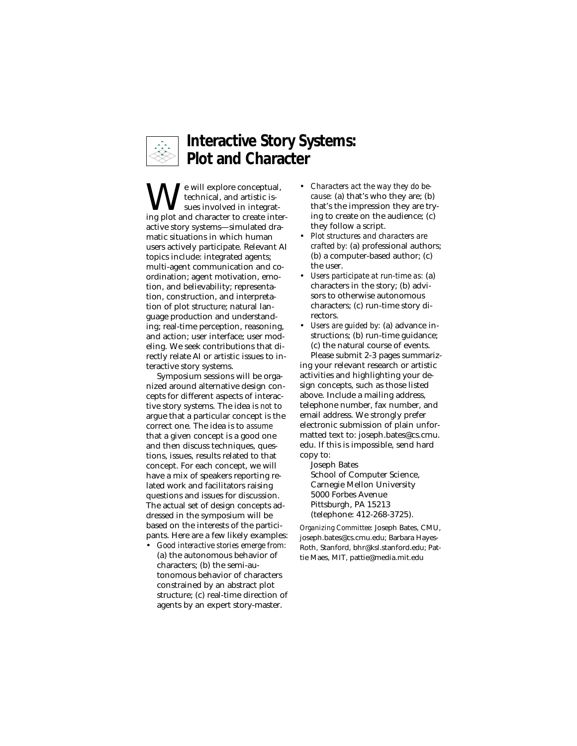

# **Interactive Story Systems: Plot and Character**

 $\sum_{\mathrm{sechrical, and \, artistic \, is}}$  isomorphical, and artistic is-<br>ing plot and character to create inte technical, and artistic issues involved in integrating plot and character to create interactive story systems—simulated dramatic situations in which human users actively participate. Relevant AI topics include: integrated agents; multi-agent communication and coordination; agent motivation, emotion, and believability; representation, construction, and interpretation of plot structure; natural language production and understanding; real-time perception, reasoning, and action; user interface; user modeling. We seek contributions that directly relate AI or artistic issues to interactive story systems.

Symposium sessions will be organized around alternative design concepts for different aspects of interactive story systems. The idea is *not* to argue that a particular concept is the correct one. The idea is to *assume* that a given concept is a good one and then discuss techniques, questions, issues, results related to that concept. For each concept, we will have a mix of speakers reporting related work and facilitators raising questions and issues for discussion. The actual set of design concepts addressed in the symposium will be based on the interests of the participants. Here are a few likely examples:

• *Good interactive stories emerge from:* (a) the autonomous behavior of characters; (b) the semi-autonomous behavior of characters constrained by an abstract plot structure; (c) real-time direction of agents by an expert story-master.

- *Characters act the way they do because:* (a) that's who they are; (b) that's the impression they are trying to create on the audience; (c) they follow a script.
- *Plot structures and characters are crafted by:* (a) professional authors; (b) a computer-based author; (c) the user.
- *Users participate at run-time as:* (a) characters in the story; (b) advisors to otherwise autonomous characters; (c) run-time story directors.
- *Users are guided by:* (a) advance instructions; (b) run-time guidance; (c) the natural course of events. Please submit 2-3 pages summariz-

ing your relevant research or artistic activities and highlighting your design concepts, such as those listed above. Include a mailing address, telephone number, fax number, and email address. We strongly prefer electronic submission of plain unformatted text to: joseph.bates@cs.cmu. edu. If this is impossible, send hard copy to:

Joseph Bates School of Computer Science, Carnegie Mellon University 5000 Forbes Avenue Pittsburgh, PA 15213 (telephone: 412-268-3725).

*Organizing Committee:* Joseph Bates, CMU, joseph.bates@cs.cmu.edu; Barbara Hayes-Roth, Stanford, bhr@ksl.stanford.edu; Pattie Maes, MIT, pattie@media.mit.edu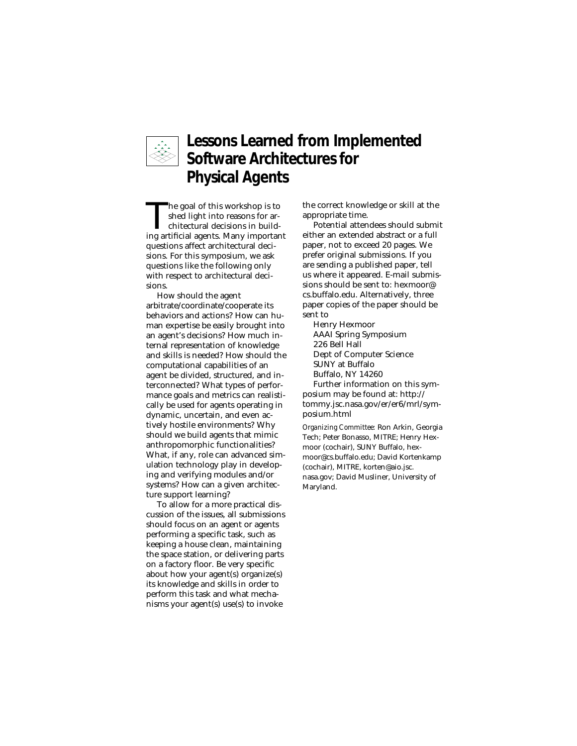

# **Lessons Learned from Implemented Software Architectures for Physical Agents**

The goal of this workshop is to<br>shed light into reasons for architectural decisions in build-<br>ing artificial agents. Many important shed light into reasons for architectural decisions in building artificial agents. Many important questions affect architectural decisions. For this symposium, we ask questions like the following only with respect to architectural decisions.

How should the agent arbitrate/coordinate/cooperate its behaviors and actions? How can human expertise be easily brought into an agent's decisions? How much internal representation of knowledge and skills is needed? How should the computational capabilities of an agent be divided, structured, and interconnected? What types of performance goals and metrics can realistically be used for agents operating in dynamic, uncertain, and even actively hostile environments? Why should we build agents that mimic anthropomorphic functionalities? What, if any, role can advanced simulation technology play in developing and verifying modules and/or systems? How can a given architecture support learning?

To allow for a more practical discussion of the issues, all submissions should focus on an agent or agents performing a specific task, such as keeping a house clean, maintaining the space station, or delivering parts on a factory floor. Be very specific about how your agent(s) organize(s) its knowledge and skills in order to perform this task and what mechanisms your agent(s) use(s) to invoke

the correct knowledge or skill at the appropriate time.

Potential attendees should submit either an extended abstract or a full paper, not to exceed 20 pages. We prefer original submissions. If you are sending a published paper, tell us where it appeared. E-mail submissions should be sent to: hexmoor@ cs.buffalo.edu. Alternatively, three paper copies of the paper should be sent to

Henry Hexmoor AAAI Spring Symposium 226 Bell Hall Dept of Computer Science SUNY at Buffalo Buffalo, NY 14260 Further information on this symposium may be found at: http:// tommy.jsc.nasa.gov/er/er6/mrl/sym-

posium.html

*Organizing Committee:* Ron Arkin, Georgia Tech; Peter Bonasso, MITRE; Henry Hexmoor (cochair), SUNY Buffalo, hexmoor@cs.buffalo.edu; David Kortenkamp (cochair), MITRE, korten@aio.jsc. nasa.gov; David Musliner, University of Maryland.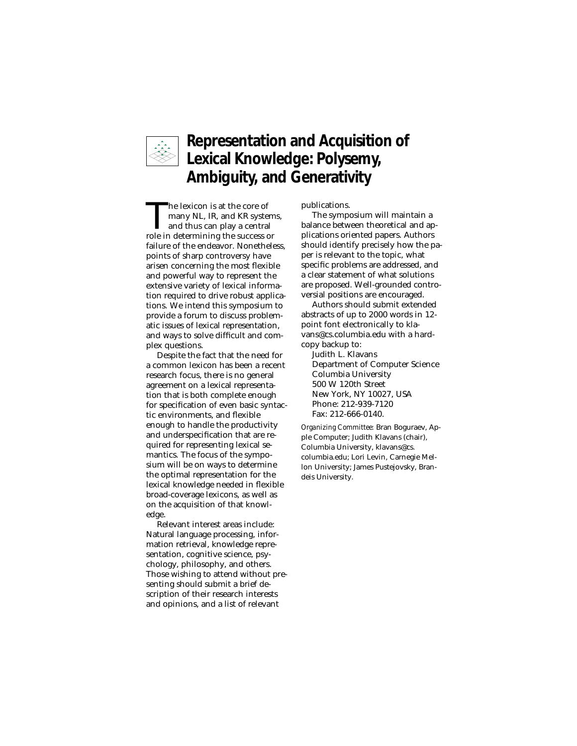

# **Representation and Acquisition of Lexical Knowledge: Polysemy, Ambiguity, and Generativity**

The lexicon is at the core of<br>many NL, IR, and KR syste<br>and thus can play a centra<br>role in determining the success o many NL, IR, and KR systems, and thus can play a central role in determining the success or failure of the endeavor. Nonetheless, points of sharp controversy have arisen concerning the most flexible and powerful way to represent the extensive variety of lexical information required to drive robust applications. We intend this symposium to provide a forum to discuss problematic issues of lexical representation, and ways to solve difficult and complex questions.

Despite the fact that the need for a common lexicon has been a recent research focus, there is no general agreement on a lexical representation that is both complete enough for specification of even basic syntactic environments, and flexible enough to handle the productivity and underspecification that are required for representing lexical semantics. The focus of the symposium will be on ways to determine the optimal representation for the lexical knowledge needed in flexible broad-coverage lexicons, as well as on the acquisition of that knowledge.

Relevant interest areas include: Natural language processing, information retrieval, knowledge representation, cognitive science, psychology, philosophy, and others. Those wishing to attend without presenting should submit a brief description of their research interests and opinions, and a list of relevant

publications.

The symposium will maintain a balance between theoretical and applications oriented papers. Authors should identify precisely how the paper is relevant to the topic, what specific problems are addressed, and a clear statement of what solutions are proposed. Well-grounded controversial positions are encouraged.

Authors should submit extended abstracts of up to 2000 words in 12 point font electronically to klavans@cs.columbia.edu with a hardcopy backup to:

Judith L. Klavans Department of Computer Science Columbia University 500 W 120th Street New York, NY 10027, USA Phone: 212-939-7120 Fax: 212-666-0140.

*Organizing Committee:* Bran Boguraev, Apple Computer; Judith Klavans (chair), Columbia University, klavans@cs. columbia.edu; Lori Levin, Carnegie Mellon University; James Pustejovsky, Brandeis University.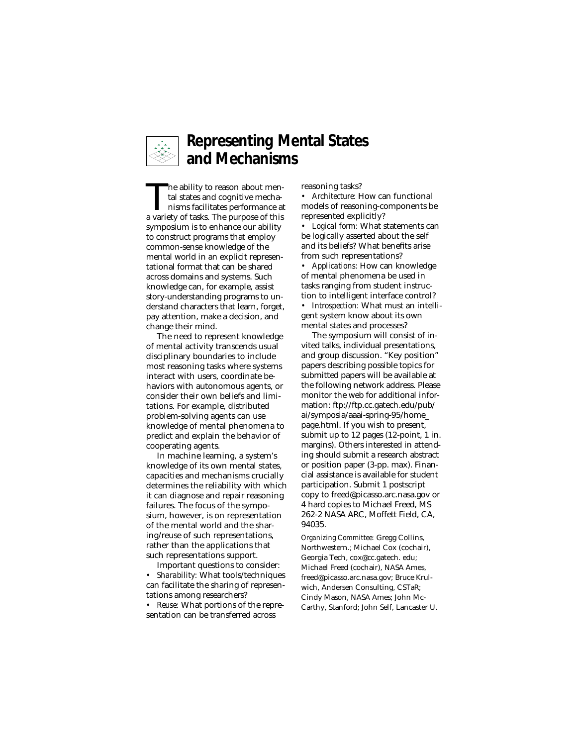

#### **Representing Mental States and Mechanisms**

The ability to reason about mental states and cognitive mechanisms facilitates performance at a variety of tasks. The nurnose of this tal states and cognitive mechanisms facilitates performance at a variety of tasks. The purpose of this symposium is to enhance our ability to construct programs that employ common-sense knowledge of the mental world in an explicit representational format that can be shared across domains and systems. Such knowledge can, for example, assist story-understanding programs to understand characters that learn, forget, pay attention, make a decision, and change their mind.

The need to represent knowledge of mental activity transcends usual disciplinary boundaries to include most reasoning tasks where systems interact with users, coordinate behaviors with autonomous agents, or consider their own beliefs and limitations. For example, distributed problem-solving agents can use knowledge of mental phenomena to predict and explain the behavior of cooperating agents.

In machine learning, a system's knowledge of its own mental states, capacities and mechanisms crucially determines the reliability with which it can diagnose and repair reasoning failures. The focus of the symposium, however, is on representation of the mental world and the sharing/reuse of such representations, rather than the applications that such representations support.

Important questions to consider: *• Sharability:* What tools/techniques can facilitate the sharing of representations among researchers?

*• Reuse:* What portions of the representation can be transferred across

reasoning tasks?

*• Architecture:* How can functional models of reasoning-components be represented explicitly?

*• Logical form:* What statements can be logically asserted about the self and its beliefs? What benefits arise from such representations?

*• Applications:* How can knowledge of mental phenomena be used in tasks ranging from student instruction to intelligent interface control?

*• Introspection:* What must an intelligent system know about its own mental states and processes?

The symposium will consist of invited talks, individual presentations, and group discussion. "Key position" papers describing possible topics for submitted papers will be available at the following network address. Please monitor the web for additional information: ftp://ftp.cc.gatech.edu/pub/ ai/symposia/aaai-spring-95/home\_ page.html. If you wish to present, submit up to 12 pages (12-point, 1 in. margins). Others interested in attending should submit a research abstract or position paper (3-pp. max). Financial assistance is available for student participation. Submit 1 postscript copy to freed@picasso.arc.nasa.gov or 4 hard copies to Michael Freed, MS 262-2 NASA ARC, Moffett Field, CA, 94035.

*Organizing Committee:* Gregg Collins, Northwestern.; Michael Cox (cochair), Georgia Tech, cox@cc.gatech. edu; Michael Freed (cochair), NASA Ames, freed@picasso.arc.nasa.gov; Bruce Krulwich, Andersen Consulting, CSTaR; Cindy Mason, NASA Ames; John Mc-Carthy, Stanford; John Self, Lancaster U.